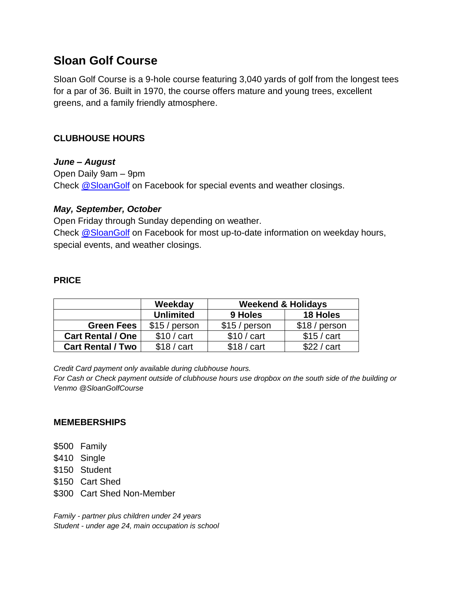# **Sloan Golf Course**

Sloan Golf Course is a 9-hole course featuring 3,040 yards of golf from the longest tees for a par of 36. Built in 1970, the course offers mature and young trees, excellent greens, and a family friendly atmosphere.

## **CLUBHOUSE HOURS**

## *June – August*

Open Daily 9am – 9pm Check [@SloanGolf](https://www.facebook.com/SloanGolf) on Facebook for special events and weather closings.

## *May, September, October*

Open Friday through Sunday depending on weather. Check [@SloanGolf](https://www.facebook.com/SloanGolf) on Facebook for most up-to-date information on weekday hours, special events, and weather closings.

## **PRICE**

|                          | Weekday          | <b>Weekend &amp; Holidays</b> |                 |
|--------------------------|------------------|-------------------------------|-----------------|
|                          | <b>Unlimited</b> | 9 Holes                       | <b>18 Holes</b> |
| <b>Green Fees</b>        | $$15/$ person    | $$15/$ person                 | \$18 / person   |
| <b>Cart Rental / One</b> | $$10/$ cart      | $$10 / \text{cart}$           | $$15/$ cart     |
| <b>Cart Rental / Two</b> | $$18/$ cart      | $$18/$ cart                   | \$22 / cart     |

*Credit Card payment only available during clubhouse hours.*

*For Cash or Check payment outside of clubhouse hours use dropbox on the south side of the building or Venmo @SloanGolfCourse*

### **MEMEBERSHIPS**

- \$500 Family
- \$410 Single
- \$150 Student
- \$150 Cart Shed
- \$300 Cart Shed Non-Member

*Family - partner plus children under 24 years Student - under age 24, main occupation is school*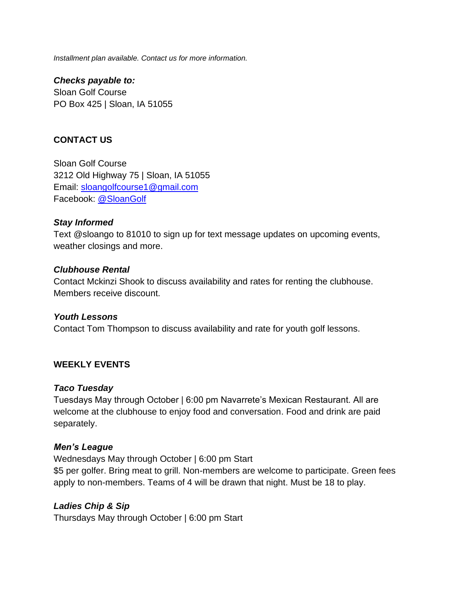*Installment plan available. Contact us for more information.*

*Checks payable to:* Sloan Golf Course PO Box 425 | Sloan, IA 51055

## **CONTACT US**

Sloan Golf Course 3212 Old Highway 75 | Sloan, IA 51055 Email: [sloangolfcourse1@gmail.com](mailto:sloangolfcourse1@gmail.com) Facebook: [@SloanGolf](https://www.facebook.com/SloanGolf)

#### *Stay Informed*

Text @sloango to 81010 to sign up for text message updates on upcoming events, weather closings and more.

#### *Clubhouse Rental*

Contact Mckinzi Shook to discuss availability and rates for renting the clubhouse. Members receive discount.

#### *Youth Lessons*

Contact Tom Thompson to discuss availability and rate for youth golf lessons.

#### **WEEKLY EVENTS**

#### *Taco Tuesday*

Tuesdays May through October | 6:00 pm Navarrete's Mexican Restaurant. All are welcome at the clubhouse to enjoy food and conversation. Food and drink are paid separately.

#### *Men's League*

Wednesdays May through October | 6:00 pm Start \$5 per golfer. Bring meat to grill. Non-members are welcome to participate. Green fees apply to non-members. Teams of 4 will be drawn that night. Must be 18 to play.

#### *Ladies Chip & Sip*

Thursdays May through October | 6:00 pm Start